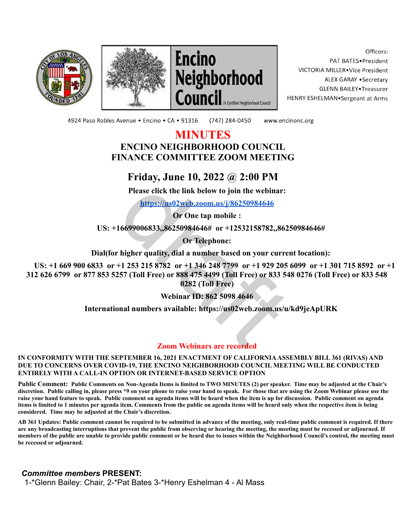





Officers: PAT BATES.President VICTORIA MILLER.Vice President ALEX GARAY .Secretary **GLENN BAILEY** Treasurer HENRY ESHELMAN.Sergeant at Arms

4924 Paso Robles Avenue · Encino · CA · 91316

(747) 284-0450

www.encinonc.org

## **MINUTES ENCINO NEIGHBORHOOD COUNCIL FINANCE COMMITTEE ZOOM MEETING**

# **Friday, June 10, 2022 @ 2:00 PM**

**Please click the link below to join the webinar:**

**https://us02web.zoom.us/j/86250984646**

**Or One tap mobile :**

**US: +16699006833,,86250984646# or +12532158782,,86250984646#**

**Or Telephone:**

**Dial(for higher quality, dial a number based on your current location):**

**US: +1 669 900 6833 or +1 253 215 8782 or +1 346 248 7799 or +1 929 205 6099 or +1 301 715 8592 or +1 312 626 6799 or 877 853 5257 (Toll Free) or 888 475 4499 (Toll Free) or 833 548 0276 (Toll Free) or 833 548 0282 (Toll Free)** Fri[d](https://us02web.zoom.us/j/86250984646)ay, June 10, 2022 (@ 2:00 PM<br>
Please click the link below to join the webinar:<br>
https://us02web.zoom.us/j/86250984646<br>
Or One tap mobile :<br>
16699006833,,86250984646# or +12532158782,,8625<br>
Or Telephone:<br>
higher qualit

**Webinar ID: 862 5098 4646**

**International numbers available: https://us02web.zoom.us/u/kd9jeApURK**

### **Zoom Webinars are recorded**

**IN CONFORMITY WITH THE SEPTEMBER 16, 2021 ENACTMENT OF CALIFORNIA ASSEMBLY BILL 361 (RIVAS) AND DUE TO CONCERNS OVER COVID-19, THE ENCINO NEIGHBORHOOD COUNCIL MEETING WILL BE CONDUCTED ENTIRELY WITH A CALL-IN OPTION OR INTERNET-BASED SERVICE OPTION**

**Public Comment: Public Comments on Non-Agenda Items is limited to TWO MINUTES (2) per speaker. Time may be adjusted at the Chair's discretion. Public calling in, please press \*9 on your phone to raise your hand to speak. For those that are using the Zoom Webinar please use the raise your hand feature to speak. Public comment on agenda items will be heard when the item is up for discussion. Public comment on agenda items is limited to 1 minutes per agenda item. Comments from the public on agenda items will be heard only when the respective item is being considered. Time may be adjusted at the Chair's discretion.**

**AB 361 Updates: Public comment cannot be required to be submitted in advance of the meeting, only real-time public comment is required. If there are any broadcasting interruptions that prevent the public from observing or hearing the meeting, the meeting must be recessed or adjourned. If members of the public are unable to provide public comment or be heard due to issues within the Neighborhood Council's control, the meeting must be recessed or adjourned.**

*Committee members* **PRESENT:** 1-\*Glenn Bailey: Chair, 2-\*Pat Bates 3-\*Henry Eshelman 4 - Al Mass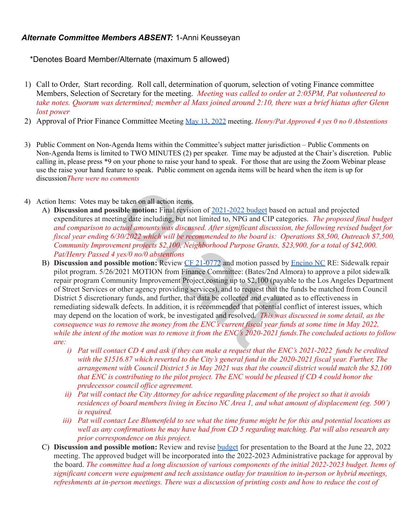### *Alternate Committee Members ABSENT:* 1-Anni Keusseyan

\*Denotes Board Member/Alternate (maximum 5 allowed)

- 1) Call to Order, Start recording. Roll call, determination of quorum, selection of voting Finance committee Members, Selection of Secretary for the meeting. *Meeting was called to order at 2:05PM, Pat volunteered to take notes. Quorum was determined; member al Mass joined around 2:10, there was a brief hiatus after Glenn lost power*
- 2) Approval of Prior Finance Committee Meeting [May 13, 2022](https://www.encinonc.org/assets/documents/8/meeting6283f2657c380.pdf) meeting. *Henry/Pat Approved 4 yes 0 no 0 Abstentions*
- 3) Public Comment on Non-Agenda Items within the Committee's subject matter jurisdiction Public Comments on Non-Agenda Items is limited to TWO MINUTES (2) per speaker. Time may be adjusted at the Chair's discretion. Public calling in, please press \*9 on your phone to raise your hand to speak. For those that are using the Zoom Webinar please use the raise your hand feature to speak. Public comment on agenda items will be heard when the item is up for discussion*There were no comments*
- 4) Action Items: Votes may be taken on all action items.
	- A) **Discussion and possible motion:** Final revision of 2021-2022 budget based on actual and projected expenditures at meeting date including, but not limited to, NPG and CIP categories. *The proposed final budget and comparison to actual amounts was discussed. After significant discussion, the following revised budget for fiscal year ending 6/30/2022 which will be recommended to the board is: Operations \$8,500, Outreach \$7,500, Community Improvement projects \$2,100, Neighborhood Purpose Grants, \$23,900, for a total of \$42,000. Pat/Henry Passed 4 yes/0 no/0 abstentions*
- B) **Discussion and possible motion:** Review CF 21-0772 and motion passed by [Encino NC](https://www.encinonc.org/assets/documents/8/meeting60aff4236250e.pdf) RE: Sidewalk repair pilot program. 5/26/2021 MOTION from Finance Committee: (Bates/2nd Almora) to approve a pilot sidewalk repair program Community Improvement Project,costing up to \$2,100 (payable to the Los Angeles Department of Street Services or other agency providing services), and to request that the funds be matched from Council District 5 discretionary funds, and further, that data be collected and evaluated as to effectiveness in remediating sidewalk defects. In addition, it is recommended that potential conflict of interest issues, which may depend on the location of work, be investigated and resolved. *This was discussed in some detail, as the consequence was to remove the money from the ENC's current fiscal year funds at some time in May 2022, while the intent of the motion was to remove it from the ENC's 2020-2021 funds.The concluded actions to follow are:* mments<br>
at taken on all action items.<br>
sible motion: Final revision of <u>2021-2022 budget</u> based of<br>
ing date including, but not limited to, NPG and CIP categretial<br>
amounts was discussed. After significant discussion.<br>
30
	- *i) Pat will contact CD 4 and ask if they can make a request that the ENC's 2021-2022 funds be credited with the \$1516.87 which reverted to the City's general fund in the 2020-2021 fiscal year. Further, The arrangement with Council District 5 in May 2021 was that the council district would match the \$2,100 that ENC is contributing to the pilot project. The ENC would be pleased if CD 4 could honor the predecessor council office agreement.*
	- *ii) Pat will contact the City Attorney for advice regarding placement of the project so that it avoids residences of board members living in Encino NC Area 1, and what amount of displacement (eg. 500') is required.*
	- *iii) Pat will contact Lee Blumenfeld to see what the time frame might be for this and potential locations as well as any confirmations he may have had from CD 5 regarding matching. Pat will also research any prior correspondence on this project.*
	- C) **Discussion and possible motion:** Review and revise [budget](https://www.encinonc.org/assets/documents/8/meeting629e4ca3caab6.pdf) for presentation to the Board at the June 22, 2022 meeting. The approved budget will be incorporated into the 2022-2023 Administrative package for approval by the board. *The committee had a long discussion of various components of the initial 2022-2023 budget. Items of significant concern were equipment and tech assistance outlay for transition to in-person or hybrid meetings, refreshments at in-person meetings. There was a discussion of printing costs and how to reduce the cost of*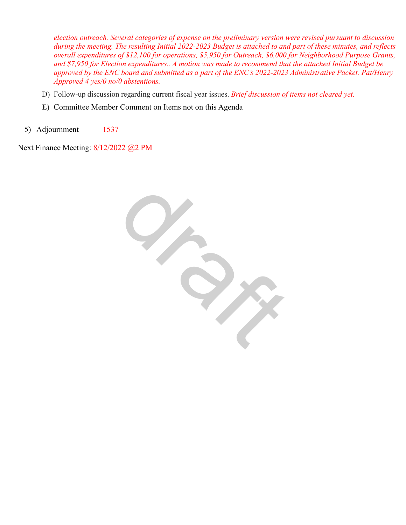*election outreach. Several categories of expense on the preliminary version were revised pursuant to discussion during the meeting. The resulting Initial 2022-2023 Budget is attached to and part of these minutes, and reflects overall expenditures of \$12,100 for operations, \$5,950 for Outreach, \$6,000 for Neighborhood Purpose Grants, and \$7,950 for Election expenditures.. A motion was made to recommend that the attached Initial Budget be approved by the ENC board and submitted as a part of the ENC's 2022-2023 Administrative Packet. Pat/Henry Approved 4 yes/0 no/0 abstentions.*

- D) Follow-up discussion regarding current fiscal year issues. *Brief discussion of items not cleared yet.*
- **E)** Committee Member Comment on Items not on this Agenda
- 5) Adjournment 1537

Next Finance Meeting: 8/12/2022 @2 PM

draft